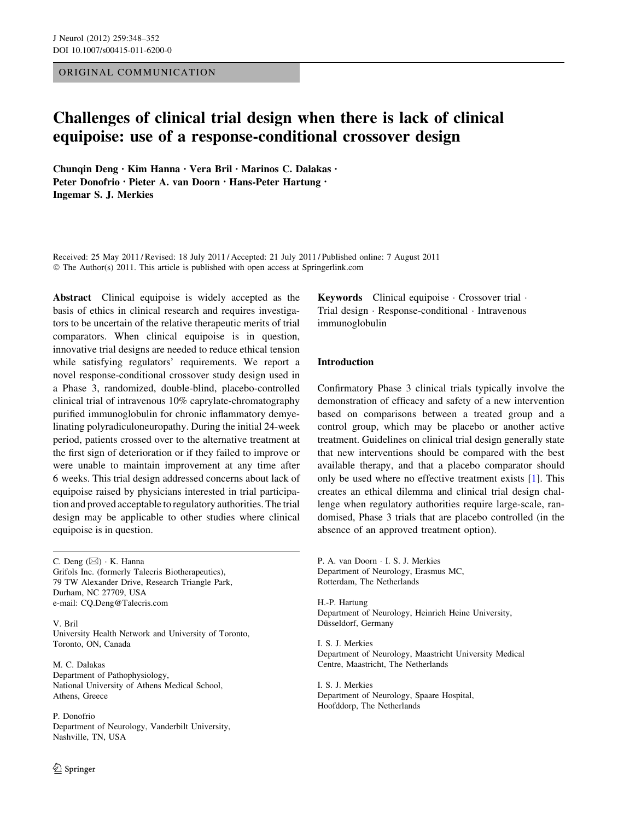### ORIGINAL COMMUNICATION

# Challenges of clinical trial design when there is lack of clinical equipoise: use of a response-conditional crossover design

Chunqin Deng • Kim Hanna • Vera Bril • Marinos C. Dalakas • Peter Donofrio • Pieter A. van Doorn • Hans-Peter Hartung • Ingemar S. J. Merkies

Received: 25 May 2011 / Revised: 18 July 2011 / Accepted: 21 July 2011 / Published online: 7 August 2011 © The Author(s) 2011. This article is published with open access at Springerlink.com

Abstract Clinical equipoise is widely accepted as the basis of ethics in clinical research and requires investigators to be uncertain of the relative therapeutic merits of trial comparators. When clinical equipoise is in question, innovative trial designs are needed to reduce ethical tension while satisfying regulators' requirements. We report a novel response-conditional crossover study design used in a Phase 3, randomized, double-blind, placebo-controlled clinical trial of intravenous 10% caprylate-chromatography purified immunoglobulin for chronic inflammatory demyelinating polyradiculoneuropathy. During the initial 24-week period, patients crossed over to the alternative treatment at the first sign of deterioration or if they failed to improve or were unable to maintain improvement at any time after 6 weeks. This trial design addressed concerns about lack of equipoise raised by physicians interested in trial participation and proved acceptable to regulatory authorities. The trial design may be applicable to other studies where clinical equipoise is in question.

C. Deng  $(\boxtimes) \cdot$  K. Hanna Grifols Inc. (formerly Talecris Biotherapeutics), 79 TW Alexander Drive, Research Triangle Park, Durham, NC 27709, USA e-mail: CQ.Deng@Talecris.com

V. Bril University Health Network and University of Toronto, Toronto, ON, Canada

M. C. Dalakas Department of Pathophysiology, National University of Athens Medical School, Athens, Greece

P. Donofrio Department of Neurology, Vanderbilt University, Nashville, TN, USA

Keywords Clinical equipoise - Crossover trial - Trial design - Response-conditional - Intravenous immunoglobulin

### Introduction

Confirmatory Phase 3 clinical trials typically involve the demonstration of efficacy and safety of a new intervention based on comparisons between a treated group and a control group, which may be placebo or another active treatment. Guidelines on clinical trial design generally state that new interventions should be compared with the best available therapy, and that a placebo comparator should only be used where no effective treatment exists [\[1](#page-4-0)]. This creates an ethical dilemma and clinical trial design challenge when regulatory authorities require large-scale, randomised, Phase 3 trials that are placebo controlled (in the absence of an approved treatment option).

P. A. van Doorn - I. S. J. Merkies Department of Neurology, Erasmus MC, Rotterdam, The Netherlands

H.-P. Hartung Department of Neurology, Heinrich Heine University, Düsseldorf, Germany

I. S. J. Merkies Department of Neurology, Maastricht University Medical Centre, Maastricht, The Netherlands

I. S. J. Merkies Department of Neurology, Spaare Hospital, Hoofddorp, The Netherlands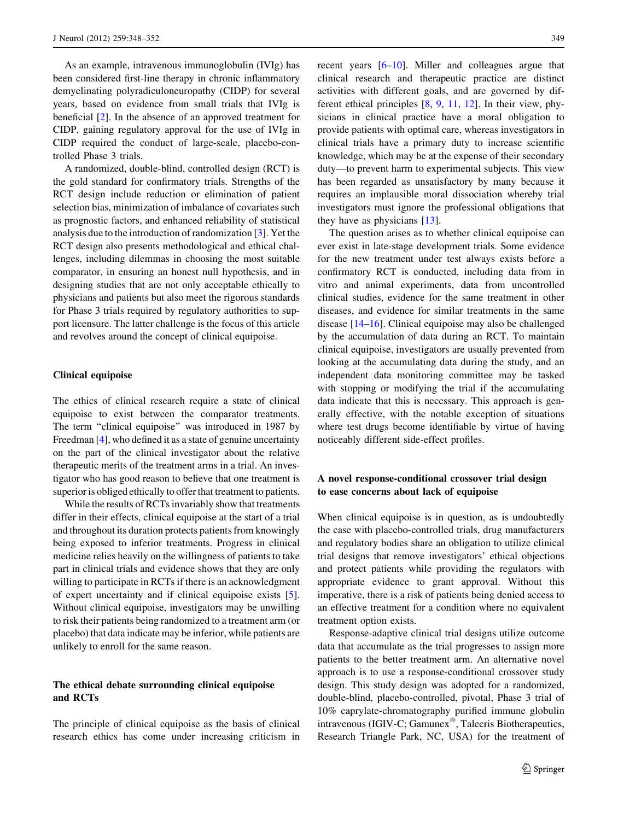As an example, intravenous immunoglobulin (IVIg) has been considered first-line therapy in chronic inflammatory demyelinating polyradiculoneuropathy (CIDP) for several years, based on evidence from small trials that IVIg is beneficial [\[2](#page-4-0)]. In the absence of an approved treatment for CIDP, gaining regulatory approval for the use of IVIg in CIDP required the conduct of large-scale, placebo-controlled Phase 3 trials.

A randomized, double-blind, controlled design (RCT) is the gold standard for confirmatory trials. Strengths of the RCT design include reduction or elimination of patient selection bias, minimization of imbalance of covariates such as prognostic factors, and enhanced reliability of statistical analysis due to the introduction of randomization [\[3](#page-4-0)]. Yet the RCT design also presents methodological and ethical challenges, including dilemmas in choosing the most suitable comparator, in ensuring an honest null hypothesis, and in designing studies that are not only acceptable ethically to physicians and patients but also meet the rigorous standards for Phase 3 trials required by regulatory authorities to support licensure. The latter challenge is the focus of this article and revolves around the concept of clinical equipoise.

#### Clinical equipoise

The ethics of clinical research require a state of clinical equipoise to exist between the comparator treatments. The term "clinical equipoise" was introduced in 1987 by Freedman [[4\]](#page-4-0), who defined it as a state of genuine uncertainty on the part of the clinical investigator about the relative therapeutic merits of the treatment arms in a trial. An investigator who has good reason to believe that one treatment is superior is obliged ethically to offer that treatment to patients.

While the results of RCTs invariably show that treatments differ in their effects, clinical equipoise at the start of a trial and throughout its duration protects patients from knowingly being exposed to inferior treatments. Progress in clinical medicine relies heavily on the willingness of patients to take part in clinical trials and evidence shows that they are only willing to participate in RCTs if there is an acknowledgment of expert uncertainty and if clinical equipoise exists [\[5](#page-4-0)]. Without clinical equipoise, investigators may be unwilling to risk their patients being randomized to a treatment arm (or placebo) that data indicate may be inferior, while patients are unlikely to enroll for the same reason.

# The ethical debate surrounding clinical equipoise and RCTs

The principle of clinical equipoise as the basis of clinical research ethics has come under increasing criticism in recent years [[6–10\]](#page-4-0). Miller and colleagues argue that clinical research and therapeutic practice are distinct activities with different goals, and are governed by different ethical principles [[8,](#page-4-0) [9,](#page-4-0) [11,](#page-4-0) [12\]](#page-4-0). In their view, physicians in clinical practice have a moral obligation to provide patients with optimal care, whereas investigators in clinical trials have a primary duty to increase scientific knowledge, which may be at the expense of their secondary duty—to prevent harm to experimental subjects. This view has been regarded as unsatisfactory by many because it requires an implausible moral dissociation whereby trial investigators must ignore the professional obligations that they have as physicians [\[13](#page-4-0)].

The question arises as to whether clinical equipoise can ever exist in late-stage development trials. Some evidence for the new treatment under test always exists before a confirmatory RCT is conducted, including data from in vitro and animal experiments, data from uncontrolled clinical studies, evidence for the same treatment in other diseases, and evidence for similar treatments in the same disease [\[14–16](#page-4-0)]. Clinical equipoise may also be challenged by the accumulation of data during an RCT. To maintain clinical equipoise, investigators are usually prevented from looking at the accumulating data during the study, and an independent data monitoring committee may be tasked with stopping or modifying the trial if the accumulating data indicate that this is necessary. This approach is generally effective, with the notable exception of situations where test drugs become identifiable by virtue of having noticeably different side-effect profiles.

# A novel response-conditional crossover trial design to ease concerns about lack of equipoise

When clinical equipoise is in question, as is undoubtedly the case with placebo-controlled trials, drug manufacturers and regulatory bodies share an obligation to utilize clinical trial designs that remove investigators' ethical objections and protect patients while providing the regulators with appropriate evidence to grant approval. Without this imperative, there is a risk of patients being denied access to an effective treatment for a condition where no equivalent treatment option exists.

Response-adaptive clinical trial designs utilize outcome data that accumulate as the trial progresses to assign more patients to the better treatment arm. An alternative novel approach is to use a response-conditional crossover study design. This study design was adopted for a randomized, double-blind, placebo-controlled, pivotal, Phase 3 trial of 10% caprylate-chromatography purified immune globulin intravenous (IGIV-C; Gamunex<sup>®</sup>, Talecris Biotherapeutics, Research Triangle Park, NC, USA) for the treatment of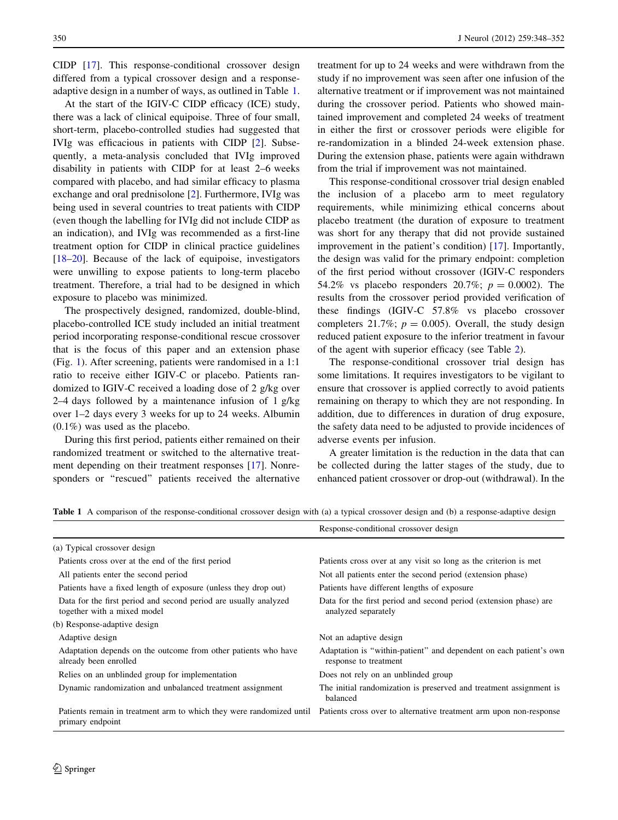CIDP [\[17](#page-4-0)]. This response-conditional crossover design differed from a typical crossover design and a responseadaptive design in a number of ways, as outlined in Table 1.

At the start of the IGIV-C CIDP efficacy (ICE) study, there was a lack of clinical equipoise. Three of four small, short-term, placebo-controlled studies had suggested that IVIg was efficacious in patients with CIDP [\[2](#page-4-0)]. Subsequently, a meta-analysis concluded that IVIg improved disability in patients with CIDP for at least 2–6 weeks compared with placebo, and had similar efficacy to plasma exchange and oral prednisolone [[2\]](#page-4-0). Furthermore, IVIg was being used in several countries to treat patients with CIDP (even though the labelling for IVIg did not include CIDP as an indication), and IVIg was recommended as a first-line treatment option for CIDP in clinical practice guidelines [\[18–20](#page-4-0)]. Because of the lack of equipoise, investigators were unwilling to expose patients to long-term placebo treatment. Therefore, a trial had to be designed in which exposure to placebo was minimized.

The prospectively designed, randomized, double-blind, placebo-controlled ICE study included an initial treatment period incorporating response-conditional rescue crossover that is the focus of this paper and an extension phase (Fig. [1](#page-3-0)). After screening, patients were randomised in a 1:1 ratio to receive either IGIV-C or placebo. Patients randomized to IGIV-C received a loading dose of 2 g/kg over 2–4 days followed by a maintenance infusion of 1 g/kg over 1–2 days every 3 weeks for up to 24 weeks. Albumin  $(0.1\%)$  was used as the placebo.

During this first period, patients either remained on their randomized treatment or switched to the alternative treatment depending on their treatment responses [[17\]](#page-4-0). Nonresponders or ''rescued'' patients received the alternative treatment for up to 24 weeks and were withdrawn from the study if no improvement was seen after one infusion of the alternative treatment or if improvement was not maintained during the crossover period. Patients who showed maintained improvement and completed 24 weeks of treatment in either the first or crossover periods were eligible for re-randomization in a blinded 24-week extension phase. During the extension phase, patients were again withdrawn from the trial if improvement was not maintained.

This response-conditional crossover trial design enabled the inclusion of a placebo arm to meet regulatory requirements, while minimizing ethical concerns about placebo treatment (the duration of exposure to treatment was short for any therapy that did not provide sustained improvement in the patient's condition) [\[17](#page-4-0)]. Importantly, the design was valid for the primary endpoint: completion of the first period without crossover (IGIV-C responders 54.2% vs placebo responders 20.7%;  $p = 0.0002$ ). The results from the crossover period provided verification of these findings (IGIV-C 57.8% vs placebo crossover completers 21.7%;  $p = 0.005$ ). Overall, the study design reduced patient exposure to the inferior treatment in favour of the agent with superior efficacy (see Table [2](#page-3-0)).

The response-conditional crossover trial design has some limitations. It requires investigators to be vigilant to ensure that crossover is applied correctly to avoid patients remaining on therapy to which they are not responding. In addition, due to differences in duration of drug exposure, the safety data need to be adjusted to provide incidences of adverse events per infusion.

A greater limitation is the reduction in the data that can be collected during the latter stages of the study, due to enhanced patient crossover or drop-out (withdrawal). In the

|                                                                                                                                                             | Response-conditional crossover design                                                       |  |
|-------------------------------------------------------------------------------------------------------------------------------------------------------------|---------------------------------------------------------------------------------------------|--|
| (a) Typical crossover design                                                                                                                                |                                                                                             |  |
| Patients cross over at the end of the first period                                                                                                          | Patients cross over at any visit so long as the criterion is met                            |  |
| All patients enter the second period                                                                                                                        | Not all patients enter the second period (extension phase)                                  |  |
| Patients have a fixed length of exposure (unless they drop out)                                                                                             | Patients have different lengths of exposure                                                 |  |
| Data for the first period and second period are usually analyzed<br>together with a mixed model                                                             | Data for the first period and second period (extension phase) are<br>analyzed separately    |  |
| (b) Response-adaptive design                                                                                                                                |                                                                                             |  |
| Adaptive design                                                                                                                                             | Not an adaptive design                                                                      |  |
| Adaptation depends on the outcome from other patients who have<br>already been enrolled                                                                     | Adaptation is "within-patient" and dependent on each patient's own<br>response to treatment |  |
| Relies on an unblinded group for implementation                                                                                                             | Does not rely on an unblinded group                                                         |  |
| Dynamic randomization and unbalanced treatment assignment                                                                                                   | The initial randomization is preserved and treatment assignment is<br>balanced              |  |
| Patients remain in treatment arm to which they were randomized until Patients cross over to alternative treatment arm upon non-response<br>primary endpoint |                                                                                             |  |

Table 1 A comparison of the response-conditional crossover design with (a) a typical crossover design and (b) a response-adaptive design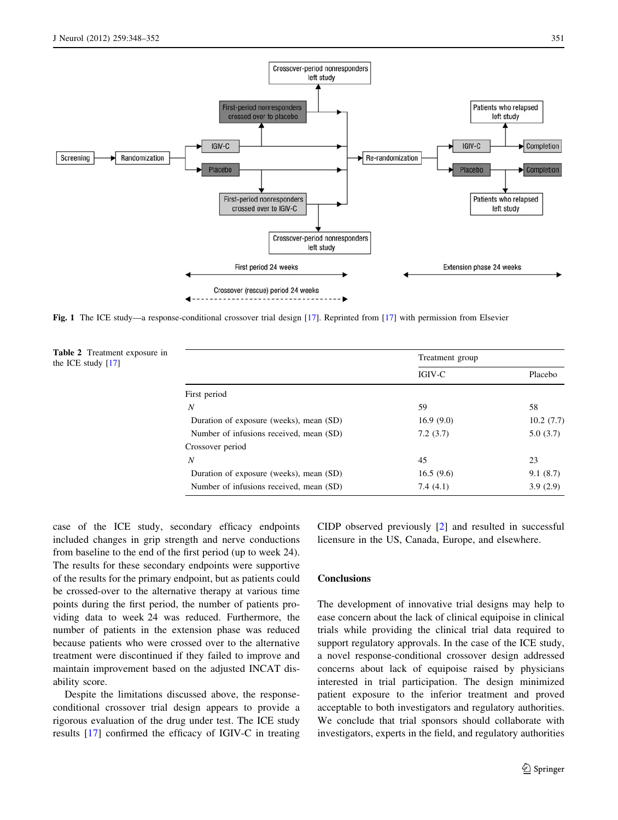<span id="page-3-0"></span>

Fig. 1 The ICE study—a response-conditional crossover trial design [\[17\]](#page-4-0). Reprinted from [\[17\]](#page-4-0) with permission from Elsevier

Table 2 Treatment exposure in

| $\frac{1}{2}$ realised exposure in<br>the ICE study $[17]$ |                                         | Treatment group |           |
|------------------------------------------------------------|-----------------------------------------|-----------------|-----------|
|                                                            | IGIV-C                                  | Placebo         |           |
|                                                            | First period                            |                 |           |
|                                                            | $\boldsymbol{N}$                        | 59              | 58        |
|                                                            | Duration of exposure (weeks), mean (SD) | 16.9(9.0)       | 10.2(7.7) |
|                                                            | Number of infusions received, mean (SD) | 7.2(3.7)        | 5.0(3.7)  |
|                                                            | Crossover period                        |                 |           |
|                                                            | $\boldsymbol{N}$                        | 45              | 23        |
|                                                            | Duration of exposure (weeks), mean (SD) | 16.5(9.6)       | 9.1(8.7)  |
|                                                            | Number of infusions received, mean (SD) | 7.4(4.1)        | 3.9(2.9)  |

case of the ICE study, secondary efficacy endpoints included changes in grip strength and nerve conductions from baseline to the end of the first period (up to week 24). The results for these secondary endpoints were supportive of the results for the primary endpoint, but as patients could be crossed-over to the alternative therapy at various time points during the first period, the number of patients providing data to week 24 was reduced. Furthermore, the number of patients in the extension phase was reduced because patients who were crossed over to the alternative treatment were discontinued if they failed to improve and maintain improvement based on the adjusted INCAT disability score.

Despite the limitations discussed above, the responseconditional crossover trial design appears to provide a rigorous evaluation of the drug under test. The ICE study results [[17\]](#page-4-0) confirmed the efficacy of IGIV-C in treating CIDP observed previously [\[2](#page-4-0)] and resulted in successful licensure in the US, Canada, Europe, and elsewhere.

# **Conclusions**

The development of innovative trial designs may help to ease concern about the lack of clinical equipoise in clinical trials while providing the clinical trial data required to support regulatory approvals. In the case of the ICE study, a novel response-conditional crossover design addressed concerns about lack of equipoise raised by physicians interested in trial participation. The design minimized patient exposure to the inferior treatment and proved acceptable to both investigators and regulatory authorities. We conclude that trial sponsors should collaborate with investigators, experts in the field, and regulatory authorities